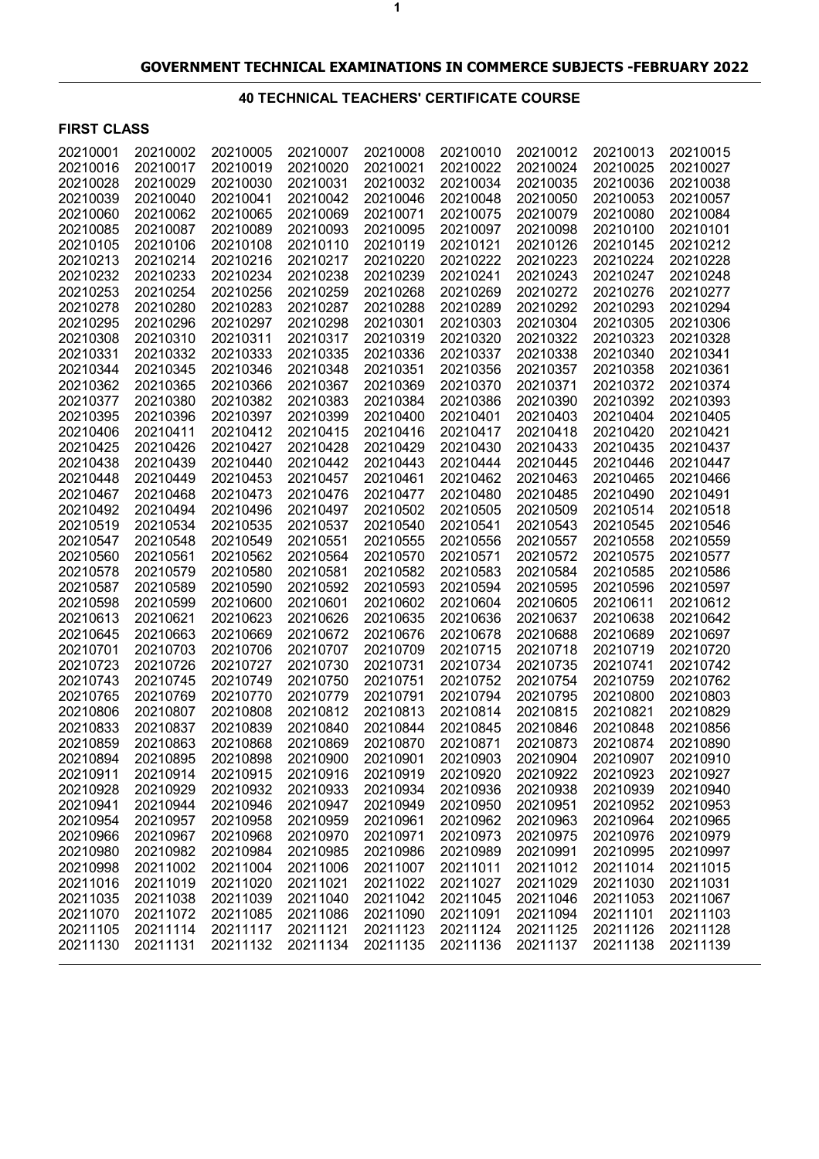## **40 TECHNICAL TEACHERS' CERTIFICATE COURSE**

## **FIRST CLASS**

| 20210001 | 20210002 | 20210005 | 20210007 | 20210008 | 20210010 | 20210012 | 20210013 | 20210015 |
|----------|----------|----------|----------|----------|----------|----------|----------|----------|
| 20210016 | 20210017 | 20210019 | 20210020 | 20210021 | 20210022 | 20210024 | 20210025 | 20210027 |
| 20210028 | 20210029 | 20210030 | 20210031 | 20210032 | 20210034 | 20210035 | 20210036 | 20210038 |
| 20210039 | 20210040 | 20210041 | 20210042 | 20210046 | 20210048 | 20210050 | 20210053 | 20210057 |
| 20210060 | 20210062 | 20210065 | 20210069 | 20210071 | 20210075 | 20210079 | 20210080 | 20210084 |
| 20210085 | 20210087 | 20210089 | 20210093 | 20210095 | 20210097 | 20210098 | 20210100 | 20210101 |
| 20210105 | 20210106 | 20210108 | 20210110 | 20210119 | 20210121 | 20210126 | 20210145 | 20210212 |
| 20210213 | 20210214 | 20210216 | 20210217 | 20210220 | 20210222 | 20210223 | 20210224 | 20210228 |
| 20210232 | 20210233 | 20210234 | 20210238 | 20210239 | 20210241 | 20210243 | 20210247 | 20210248 |
| 20210253 | 20210254 | 20210256 | 20210259 | 20210268 | 20210269 | 20210272 | 20210276 | 20210277 |
| 20210278 | 20210280 | 20210283 | 20210287 | 20210288 | 20210289 | 20210292 | 20210293 | 20210294 |
| 20210295 | 20210296 | 20210297 | 20210298 | 20210301 | 20210303 | 20210304 | 20210305 | 20210306 |
| 20210308 | 20210310 | 20210311 | 20210317 | 20210319 | 20210320 | 20210322 | 20210323 | 20210328 |
| 20210331 | 20210332 | 20210333 | 20210335 | 20210336 | 20210337 | 20210338 | 20210340 | 20210341 |
| 20210344 | 20210345 | 20210346 | 20210348 | 20210351 | 20210356 | 20210357 | 20210358 | 20210361 |
| 20210362 | 20210365 | 20210366 | 20210367 | 20210369 | 20210370 | 20210371 | 20210372 | 20210374 |
| 20210377 | 20210380 | 20210382 | 20210383 | 20210384 | 20210386 | 20210390 | 20210392 | 20210393 |
| 20210395 | 20210396 | 20210397 | 20210399 | 20210400 | 20210401 | 20210403 | 20210404 | 20210405 |
| 20210406 | 20210411 | 20210412 | 20210415 | 20210416 | 20210417 | 20210418 | 20210420 | 20210421 |
| 20210425 | 20210426 | 20210427 | 20210428 | 20210429 | 20210430 | 20210433 | 20210435 | 20210437 |
| 20210438 | 20210439 | 20210440 | 20210442 | 20210443 | 20210444 | 20210445 | 20210446 | 20210447 |
| 20210448 | 20210449 | 20210453 | 20210457 | 20210461 | 20210462 | 20210463 | 20210465 | 20210466 |
| 20210467 | 20210468 | 20210473 | 20210476 | 20210477 | 20210480 | 20210485 | 20210490 | 20210491 |
| 20210492 | 20210494 | 20210496 | 20210497 | 20210502 | 20210505 | 20210509 | 20210514 | 20210518 |
| 20210519 | 20210534 | 20210535 | 20210537 | 20210540 | 20210541 | 20210543 | 20210545 | 20210546 |
| 20210547 | 20210548 | 20210549 | 20210551 | 20210555 | 20210556 | 20210557 | 20210558 | 20210559 |
| 20210560 | 20210561 | 20210562 | 20210564 | 20210570 | 20210571 | 20210572 | 20210575 | 20210577 |
| 20210578 | 20210579 | 20210580 | 20210581 | 20210582 | 20210583 | 20210584 | 20210585 | 20210586 |
| 20210587 | 20210589 | 20210590 | 20210592 | 20210593 | 20210594 | 20210595 | 20210596 | 20210597 |
| 20210598 | 20210599 | 20210600 | 20210601 | 20210602 | 20210604 | 20210605 | 20210611 | 20210612 |
| 20210613 | 20210621 | 20210623 | 20210626 | 20210635 | 20210636 | 20210637 | 20210638 | 20210642 |
| 20210645 | 20210663 | 20210669 | 20210672 | 20210676 | 20210678 | 20210688 | 20210689 | 20210697 |
| 20210701 | 20210703 | 20210706 | 20210707 | 20210709 | 20210715 | 20210718 | 20210719 | 20210720 |
| 20210723 | 20210726 | 20210727 | 20210730 | 20210731 | 20210734 | 20210735 | 20210741 | 20210742 |
| 20210743 | 20210745 | 20210749 | 20210750 | 20210751 | 20210752 | 20210754 | 20210759 | 20210762 |
| 20210765 | 20210769 | 20210770 | 20210779 | 20210791 | 20210794 | 20210795 | 20210800 | 20210803 |
| 20210806 | 20210807 | 20210808 | 20210812 | 20210813 | 20210814 | 20210815 | 20210821 | 20210829 |
| 20210833 | 20210837 | 20210839 | 20210840 | 20210844 | 20210845 | 20210846 | 20210848 | 20210856 |
| 20210859 | 20210863 | 20210868 | 20210869 | 20210870 | 20210871 | 20210873 | 20210874 | 20210890 |
| 20210894 | 20210895 | 20210898 | 20210900 | 20210901 | 20210903 | 20210904 | 20210907 | 20210910 |
| 20210911 | 20210914 | 20210915 | 20210916 | 20210919 | 20210920 | 20210922 | 20210923 | 20210927 |
| 20210928 | 20210929 | 20210932 | 20210933 | 20210934 | 20210936 | 20210938 | 20210939 | 20210940 |
| 20210941 | 20210944 | 20210946 | 20210947 | 20210949 | 20210950 | 20210951 | 20210952 | 20210953 |
| 20210954 | 20210957 | 20210958 | 20210959 | 20210961 | 20210962 | 20210963 | 20210964 | 20210965 |
| 20210966 | 20210967 | 20210968 | 20210970 | 20210971 | 20210973 | 20210975 | 20210976 | 20210979 |
| 20210980 | 20210982 | 20210984 | 20210985 | 20210986 | 20210989 | 20210991 | 20210995 | 20210997 |
| 20210998 | 20211002 | 20211004 | 20211006 | 20211007 | 20211011 | 20211012 | 20211014 | 20211015 |
| 20211016 | 20211019 | 20211020 | 20211021 | 20211022 | 20211027 | 20211029 | 20211030 | 20211031 |
| 20211035 | 20211038 | 20211039 | 20211040 | 20211042 | 20211045 | 20211046 | 20211053 | 20211067 |
| 20211070 | 20211072 | 20211085 | 20211086 | 20211090 | 20211091 | 20211094 | 20211101 | 20211103 |
| 20211105 | 20211114 | 20211117 | 20211121 | 20211123 | 20211124 | 20211125 | 20211126 | 20211128 |
| 20211130 | 20211131 | 20211132 | 20211134 | 20211135 | 20211136 | 20211137 | 20211138 | 20211139 |
|          |          |          |          |          |          |          |          |          |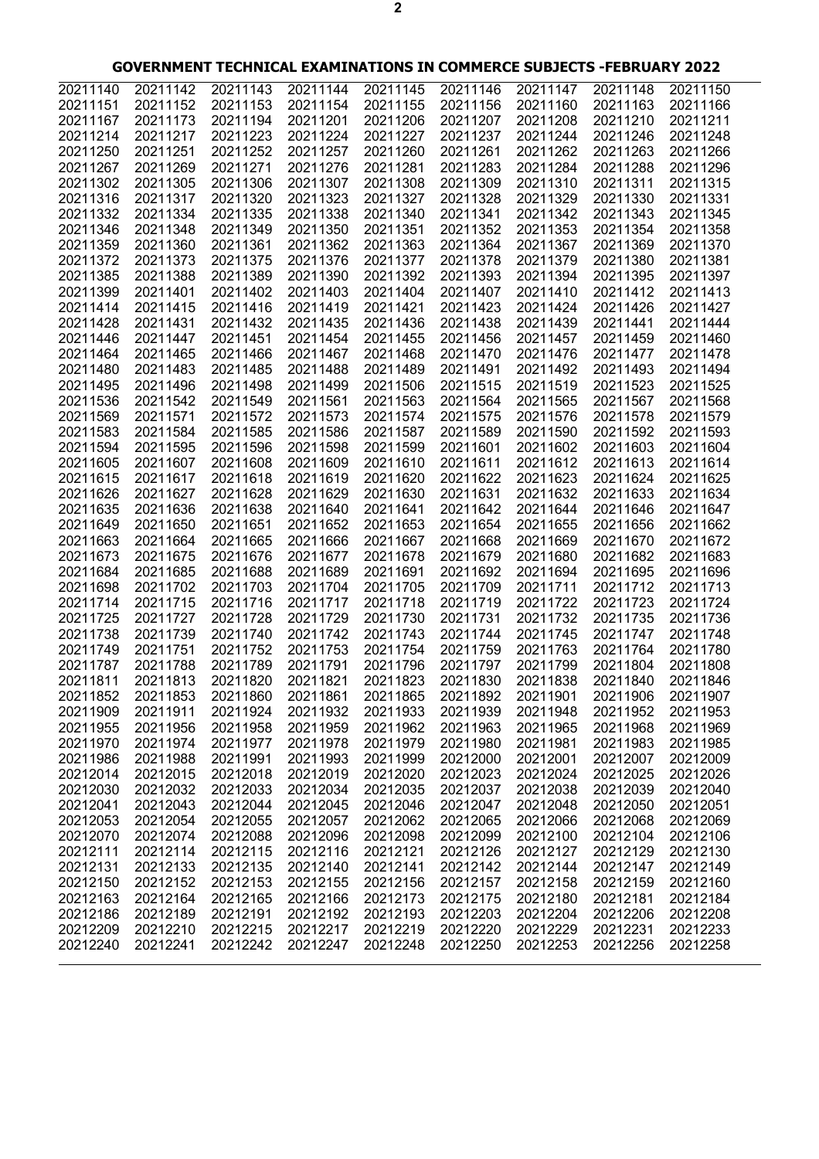| 20211140             | 20211142             | 20211143             | 20211144             | 20211145             | 20211146             | 20211147             | 20211148             | 20211150             |
|----------------------|----------------------|----------------------|----------------------|----------------------|----------------------|----------------------|----------------------|----------------------|
| 20211151             | 20211152             | 20211153             | 20211154             | 20211155             | 20211156             | 20211160             | 20211163             | 20211166             |
| 20211167             | 20211173             | 20211194             | 20211201             | 20211206             | 20211207             | 20211208             | 20211210             | 20211211             |
| 20211214             | 20211217             | 20211223             | 20211224             | 20211227             | 20211237             | 20211244             | 20211246             | 20211248             |
| 20211250             | 20211251             | 20211252             | 20211257             | 20211260             | 20211261             | 20211262             | 20211263             | 20211266             |
| 20211267             | 20211269             | 20211271             | 20211276             | 20211281             | 20211283             | 20211284             | 20211288             | 20211296             |
| 20211302             | 20211305             | 20211306             | 20211307             | 20211308             | 20211309             | 20211310             | 20211311             | 20211315             |
| 20211316             | 20211317             | 20211320             | 20211323             | 20211327             | 20211328             | 20211329             | 20211330             | 20211331             |
| 20211332             | 20211334             | 20211335             | 20211338             | 20211340             | 20211341             | 20211342             | 20211343             | 20211345             |
| 20211346             | 20211348             | 20211349             | 20211350             | 20211351             | 20211352             | 20211353             | 20211354             | 20211358             |
| 20211359             | 20211360             | 20211361             | 20211362             | 20211363             | 20211364             | 20211367             | 20211369             | 20211370             |
| 20211372             | 20211373             | 20211375             | 20211376             | 20211377             | 20211378             | 20211379             | 20211380             | 20211381             |
| 20211385             | 20211388             | 20211389             | 20211390             | 20211392             | 20211393             | 20211394             | 20211395             | 20211397             |
| 20211399             | 20211401             | 20211402             | 20211403             | 20211404             | 20211407             | 20211410             | 20211412             | 20211413             |
| 20211414             | 20211415             | 20211416             | 20211419             | 20211421             | 20211423             | 20211424             | 20211426             | 20211427             |
| 20211428             | 20211431             | 20211432             | 20211435             | 20211436             | 20211438             | 20211439             | 20211441             | 20211444             |
| 20211446             | 20211447             | 20211451             | 20211454             | 20211455             | 20211456             | 20211457             | 20211459             | 20211460             |
| 20211464             | 20211465             | 20211466             | 20211467             | 20211468             | 20211470             | 20211476             | 20211477             | 20211478             |
| 20211480             | 20211483             | 20211485             | 20211488             | 20211489             | 20211491             | 20211492             | 20211493             | 20211494             |
| 20211495             | 20211496             | 20211498             | 20211499             | 20211506             | 20211515             | 20211519             | 20211523             | 20211525             |
| 20211536             | 20211542             | 20211549             | 20211561<br>20211573 | 20211563             | 20211564             | 20211565             | 20211567             | 20211568             |
| 20211569             | 20211571             | 20211572             |                      | 20211574             | 20211575             | 20211576             | 20211578             | 20211579             |
| 20211583             | 20211584             | 20211585<br>20211596 | 20211586<br>20211598 | 20211587<br>20211599 | 20211589             | 20211590             | 20211592<br>20211603 | 20211593<br>20211604 |
| 20211594<br>20211605 | 20211595<br>20211607 | 20211608             | 20211609             | 20211610             | 20211601<br>20211611 | 20211602<br>20211612 | 20211613             | 20211614             |
| 20211615             | 20211617             | 20211618             | 20211619             | 20211620             | 20211622             | 20211623             | 20211624             | 20211625             |
| 20211626             | 20211627             | 20211628             | 20211629             | 20211630             | 20211631             | 20211632             | 20211633             | 20211634             |
| 20211635             | 20211636             | 20211638             | 20211640             | 20211641             | 20211642             | 20211644             | 20211646             | 20211647             |
| 20211649             | 20211650             | 20211651             | 20211652             | 20211653             | 20211654             | 20211655             | 20211656             | 20211662             |
| 20211663             | 20211664             | 20211665             | 20211666             | 20211667             | 20211668             | 20211669             | 20211670             | 20211672             |
| 20211673             | 20211675             | 20211676             | 20211677             | 20211678             | 20211679             | 20211680             | 20211682             | 20211683             |
| 20211684             | 20211685             | 20211688             | 20211689             | 20211691             | 20211692             | 20211694             | 20211695             | 20211696             |
| 20211698             | 20211702             | 20211703             | 20211704             | 20211705             | 20211709             | 20211711             | 20211712             | 20211713             |
| 20211714             | 20211715             | 20211716             | 20211717             | 20211718             | 20211719             | 20211722             | 20211723             | 20211724             |
| 20211725             | 20211727             | 20211728             | 20211729             | 20211730             | 20211731             | 20211732             | 20211735             | 20211736             |
| 20211738             | 20211739             | 20211740             | 20211742             | 20211743             | 20211744             | 20211745             | 20211747             | 20211748             |
| 20211749             | 20211751             | 20211752             | 20211753             | 20211754             | 20211759             | 20211763             | 20211764             | 20211780             |
| 20211787             | 20211788             | 20211789             | 20211791             | 20211796             | 20211797             | 20211799             | 20211804             | 20211808             |
| 20211811             | 20211813             | 20211820             | 20211821             | 20211823             | 20211830             | 20211838             | 20211840             | 20211846             |
| 20211852             | 20211853             | 20211860             | 20211861             | 20211865             | 20211892             | 20211901             | 20211906             | 20211907             |
| 20211909             | 20211911             | 20211924             | 20211932             | 20211933             | 20211939             | 20211948             | 20211952             | 20211953             |
| 20211955             | 20211956             | 20211958             | 20211959             | 20211962             | 20211963             | 20211965             | 20211968             | 20211969             |
| 20211970             | 20211974             | 20211977             | 20211978             | 20211979             | 20211980             | 20211981             | 20211983             | 20211985             |
| 20211986             | 20211988             | 20211991             | 20211993             | 20211999             | 20212000             | 20212001             | 20212007             | 20212009             |
| 20212014             | 20212015             | 20212018             | 20212019             | 20212020             | 20212023             | 20212024             | 20212025             | 20212026             |
| 20212030             | 20212032             | 20212033             | 20212034             | 20212035             | 20212037             | 20212038             | 20212039             | 20212040             |
| 20212041             | 20212043             | 20212044             | 20212045             | 20212046             | 20212047             | 20212048             | 20212050             | 20212051             |
| 20212053             | 20212054             | 20212055             | 20212057             | 20212062             | 20212065             | 20212066             | 20212068             | 20212069             |
| 20212070             | 20212074             | 20212088             | 20212096             | 20212098             | 20212099             | 20212100             | 20212104             | 20212106             |
| 20212111             | 20212114             | 20212115             | 20212116             | 20212121             | 20212126             | 20212127             | 20212129             | 20212130             |
| 20212131             | 20212133             | 20212135             | 20212140             | 20212141             | 20212142             | 20212144             | 20212147             | 20212149             |
| 20212150             | 20212152             | 20212153             | 20212155             | 20212156             | 20212157             | 20212158             | 20212159             | 20212160             |
| 20212163             | 20212164             | 20212165             | 20212166             | 20212173             | 20212175             | 20212180             | 20212181             | 20212184             |
| 20212186             | 20212189             | 20212191             | 20212192             | 20212193             | 20212203             | 20212204             | 20212206             | 20212208             |
| 20212209             | 20212210             | 20212215             | 20212217             | 20212219             | 20212220             | 20212229             | 20212231             | 20212233             |
| 20212240             | 20212241             | 20212242             | 20212247             | 20212248             | 20212250             | 20212253             | 20212256             | 20212258             |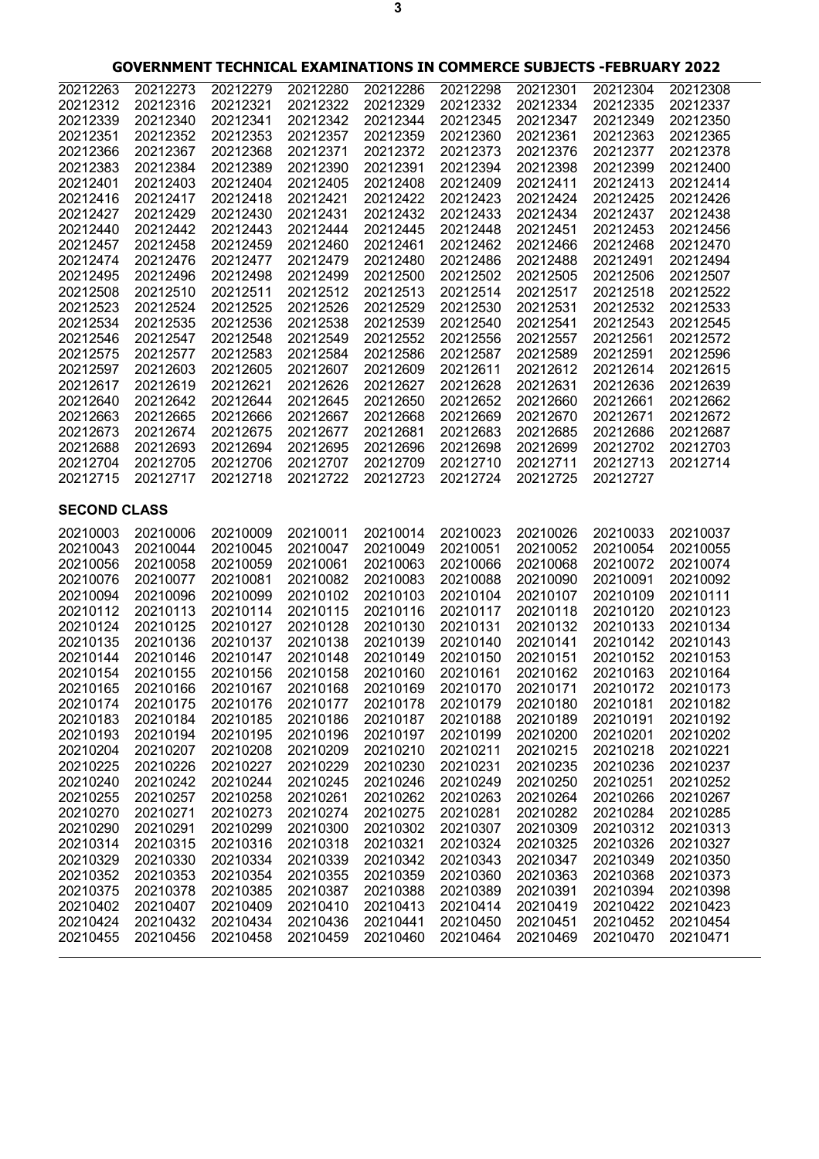| 20212263            | 20212273 | 20212279 | 20212280 | 20212286 | 20212298 | 20212301 | 20212304 | 20212308 |
|---------------------|----------|----------|----------|----------|----------|----------|----------|----------|
| 20212312            | 20212316 | 20212321 | 20212322 | 20212329 | 20212332 | 20212334 | 20212335 | 20212337 |
| 20212339            | 20212340 | 20212341 | 20212342 | 20212344 | 20212345 | 20212347 | 20212349 | 20212350 |
| 20212351            | 20212352 | 20212353 | 20212357 | 20212359 | 20212360 | 20212361 | 20212363 | 20212365 |
| 20212366            | 20212367 | 20212368 | 20212371 | 20212372 | 20212373 | 20212376 | 20212377 | 20212378 |
| 20212383            | 20212384 | 20212389 | 20212390 | 20212391 | 20212394 | 20212398 | 20212399 | 20212400 |
| 20212401            | 20212403 | 20212404 | 20212405 | 20212408 | 20212409 | 20212411 | 20212413 | 20212414 |
| 20212416            | 20212417 | 20212418 | 20212421 | 20212422 | 20212423 | 20212424 | 20212425 | 20212426 |
| 20212427            | 20212429 | 20212430 | 20212431 | 20212432 | 20212433 | 20212434 | 20212437 | 20212438 |
| 20212440            | 20212442 | 20212443 | 20212444 | 20212445 | 20212448 | 20212451 | 20212453 | 20212456 |
|                     |          |          |          |          |          |          |          |          |
| 20212457            | 20212458 | 20212459 | 20212460 | 20212461 | 20212462 | 20212466 | 20212468 | 20212470 |
| 20212474            | 20212476 | 20212477 | 20212479 | 20212480 | 20212486 | 20212488 | 20212491 | 20212494 |
| 20212495            | 20212496 | 20212498 | 20212499 | 20212500 | 20212502 | 20212505 | 20212506 | 20212507 |
| 20212508            | 20212510 | 20212511 | 20212512 | 20212513 | 20212514 | 20212517 | 20212518 | 20212522 |
| 20212523            | 20212524 | 20212525 | 20212526 | 20212529 | 20212530 | 20212531 | 20212532 | 20212533 |
| 20212534            | 20212535 | 20212536 | 20212538 | 20212539 | 20212540 | 20212541 | 20212543 | 20212545 |
| 20212546            | 20212547 | 20212548 | 20212549 | 20212552 | 20212556 | 20212557 | 20212561 | 20212572 |
| 20212575            | 20212577 | 20212583 | 20212584 | 20212586 | 20212587 | 20212589 | 20212591 | 20212596 |
| 20212597            | 20212603 | 20212605 | 20212607 | 20212609 | 20212611 | 20212612 | 20212614 | 20212615 |
| 20212617            | 20212619 | 20212621 | 20212626 | 20212627 | 20212628 | 20212631 | 20212636 | 20212639 |
| 20212640            | 20212642 | 20212644 | 20212645 | 20212650 | 20212652 | 20212660 | 20212661 | 20212662 |
| 20212663            | 20212665 | 20212666 | 20212667 | 20212668 | 20212669 | 20212670 | 20212671 | 20212672 |
| 20212673            | 20212674 | 20212675 | 20212677 | 20212681 | 20212683 | 20212685 | 20212686 | 20212687 |
| 20212688            | 20212693 | 20212694 | 20212695 | 20212696 | 20212698 | 20212699 | 20212702 | 20212703 |
| 20212704            | 20212705 | 20212706 | 20212707 | 20212709 | 20212710 | 20212711 | 20212713 | 20212714 |
| 20212715            | 20212717 | 20212718 | 20212722 | 20212723 | 20212724 | 20212725 | 20212727 |          |
|                     |          |          |          |          |          |          |          |          |
| <b>SECOND CLASS</b> |          |          |          |          |          |          |          |          |
| 20210003            | 20210006 | 20210009 | 20210011 | 20210014 | 20210023 | 20210026 | 20210033 | 20210037 |
| 20210043            | 20210044 | 20210045 | 20210047 | 20210049 | 20210051 | 20210052 | 20210054 | 20210055 |
| 20210056            | 20210058 | 20210059 | 20210061 | 20210063 | 20210066 | 20210068 | 20210072 | 20210074 |
| 20210076            | 20210077 | 20210081 | 20210082 | 20210083 | 20210088 | 20210090 | 20210091 | 20210092 |
| 20210094            | 20210096 | 20210099 | 20210102 | 20210103 | 20210104 | 20210107 | 20210109 | 20210111 |
|                     |          |          |          |          |          |          |          |          |
| 20210112            | 20210113 | 20210114 | 20210115 | 20210116 | 20210117 | 20210118 | 20210120 | 20210123 |
| 20210124            | 20210125 | 20210127 | 20210128 | 20210130 | 20210131 | 20210132 | 20210133 | 20210134 |
| 20210135            | 20210136 | 20210137 | 20210138 | 20210139 | 20210140 | 20210141 | 20210142 | 20210143 |
| 20210144            | 20210146 | 20210147 | 20210148 | 20210149 | 20210150 | 20210151 | 20210152 | 20210153 |
| 20210154            | 20210155 | 20210156 | 20210158 | 20210160 | 20210161 | 20210162 | 20210163 | 20210164 |
| 20210165            | 20210166 | 20210167 | 20210168 | 20210169 | 20210170 | 20210171 | 20210172 | 20210173 |
| 20210174            | 20210175 | 20210176 | 20210177 | 20210178 | 20210179 | 20210180 | 20210181 | 20210182 |
| 20210183            | 20210184 | 20210185 | 20210186 | 20210187 | 20210188 | 20210189 | 20210191 | 20210192 |
| 20210193            | 20210194 | 20210195 | 20210196 | 20210197 | 20210199 | 20210200 | 20210201 | 20210202 |
| 20210204            | 20210207 | 20210208 | 20210209 | 20210210 | 20210211 | 20210215 | 20210218 | 20210221 |
| 20210225            | 20210226 | 20210227 | 20210229 | 20210230 | 20210231 | 20210235 | 20210236 | 20210237 |
| 20210240            | 20210242 | 20210244 | 20210245 | 20210246 | 20210249 | 20210250 | 20210251 | 20210252 |
| 20210255            | 20210257 | 20210258 | 20210261 | 20210262 | 20210263 | 20210264 | 20210266 | 20210267 |
| 20210270            | 20210271 | 20210273 | 20210274 | 20210275 | 20210281 | 20210282 | 20210284 | 20210285 |
| 20210290            | 20210291 | 20210299 | 20210300 | 20210302 | 20210307 | 20210309 | 20210312 | 20210313 |
| 20210314            | 20210315 | 20210316 | 20210318 | 20210321 | 20210324 | 20210325 | 20210326 | 20210327 |
| 20210329            | 20210330 | 20210334 | 20210339 | 20210342 | 20210343 | 20210347 | 20210349 | 20210350 |
| 20210352            | 20210353 | 20210354 | 20210355 | 20210359 | 20210360 | 20210363 | 20210368 | 20210373 |
| 20210375            | 20210378 | 20210385 | 20210387 | 20210388 | 20210389 | 20210391 | 20210394 | 20210398 |
| 20210402            | 20210407 | 20210409 | 20210410 | 20210413 | 20210414 | 20210419 | 20210422 | 20210423 |
| 20210424            | 20210432 | 20210434 | 20210436 | 20210441 | 20210450 | 20210451 | 20210452 | 20210454 |
| 20210455            | 20210456 | 20210458 | 20210459 | 20210460 | 20210464 | 20210469 | 20210470 | 20210471 |
|                     |          |          |          |          |          |          |          |          |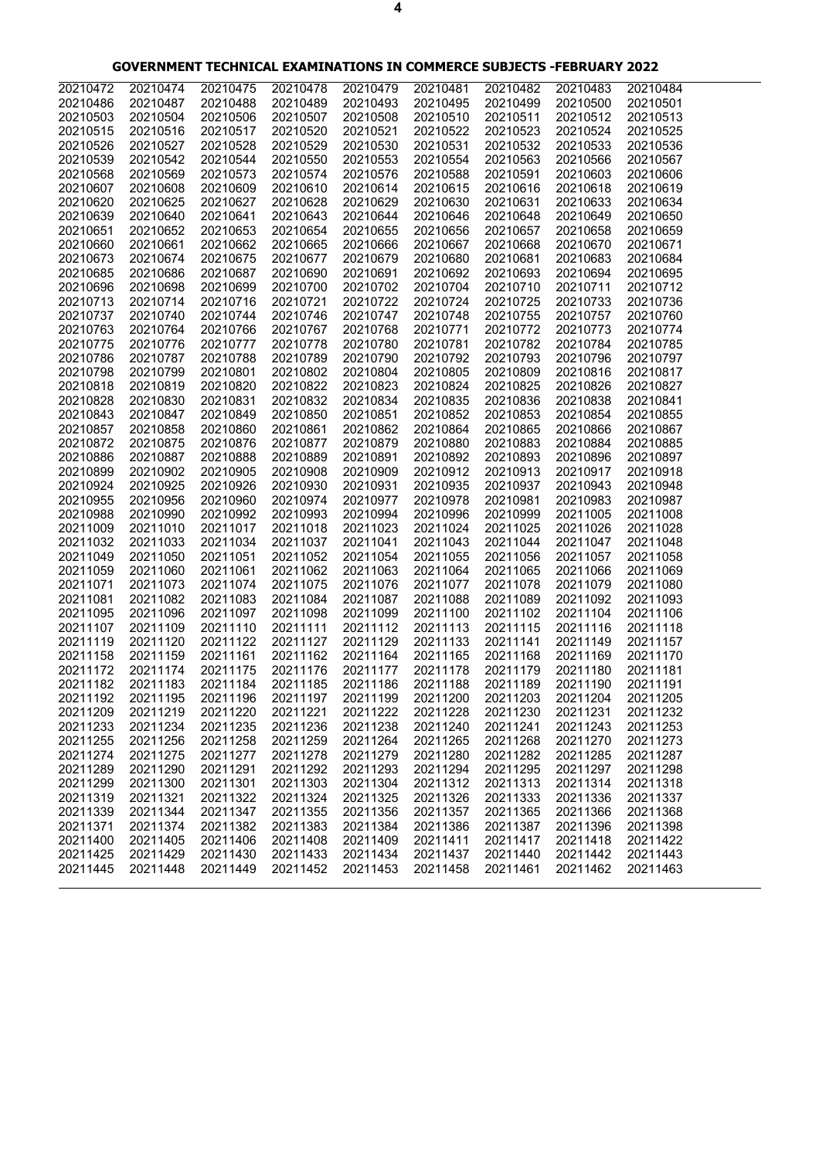| 20210472             | 20210474             | 20210475             | 20210478             | 20210479             | 20210481             | 20210482             | 20210483             | 20210484             |
|----------------------|----------------------|----------------------|----------------------|----------------------|----------------------|----------------------|----------------------|----------------------|
| 20210486             | 20210487             | 20210488             | 20210489             | 20210493             | 20210495             | 20210499             | 20210500             | 20210501             |
| 20210503             | 20210504             | 20210506             | 20210507             | 20210508             | 20210510             | 20210511             | 20210512             | 20210513             |
| 20210515             | 20210516             | 20210517             | 20210520             | 20210521             | 20210522             | 20210523             | 20210524             | 20210525             |
| 20210526             | 20210527             | 20210528             | 20210529             | 20210530             | 20210531             | 20210532             | 20210533             | 20210536             |
| 20210539             | 20210542             | 20210544             | 20210550             | 20210553             | 20210554             | 20210563             | 20210566             | 20210567             |
| 20210568             | 20210569             | 20210573             | 20210574             | 20210576             | 20210588             | 20210591             | 20210603             | 20210606             |
| 20210607             | 20210608             | 20210609             | 20210610             | 20210614             | 20210615             | 20210616             | 20210618             | 20210619             |
| 20210620             | 20210625             | 20210627             | 20210628             | 20210629             | 20210630             | 20210631             | 20210633             | 20210634             |
| 20210639             | 20210640             | 20210641             | 20210643             | 20210644             | 20210646             | 20210648             | 20210649             | 20210650             |
| 20210651             | 20210652             | 20210653             | 20210654             | 20210655             | 20210656             | 20210657             | 20210658             | 20210659             |
| 20210660             | 20210661             | 20210662             | 20210665             | 20210666             | 20210667             | 20210668             | 20210670             | 20210671             |
| 20210673             | 20210674             | 20210675             | 20210677             | 20210679             | 20210680             | 20210681             | 20210683             | 20210684             |
| 20210685             | 20210686<br>20210698 | 20210687             | 20210690             | 20210691             | 20210692<br>20210704 | 20210693             | 20210694             | 20210695             |
| 20210696<br>20210713 | 20210714             | 20210699<br>20210716 | 20210700<br>20210721 | 20210702<br>20210722 | 20210724             | 20210710<br>20210725 | 20210711<br>20210733 | 20210712<br>20210736 |
|                      |                      |                      |                      |                      |                      |                      |                      |                      |
| 20210737<br>20210763 | 20210740<br>20210764 | 20210744<br>20210766 | 20210746<br>20210767 | 20210747<br>20210768 | 20210748<br>20210771 | 20210755<br>20210772 | 20210757<br>20210773 | 20210760<br>20210774 |
| 20210775             | 20210776             | 20210777             | 20210778             | 20210780             | 20210781             | 20210782             | 20210784             | 20210785             |
| 20210786             | 20210787             | 20210788             | 20210789             | 20210790             | 20210792             | 20210793             | 20210796             | 20210797             |
| 20210798             | 20210799             | 20210801             | 20210802             | 20210804             | 20210805             | 20210809             | 20210816             | 20210817             |
| 20210818             | 20210819             | 20210820             | 20210822             | 20210823             | 20210824             | 20210825             | 20210826             | 20210827             |
| 20210828             | 20210830             | 20210831             | 20210832             | 20210834             | 20210835             | 20210836             | 20210838             | 20210841             |
| 20210843             | 20210847             | 20210849             | 20210850             | 20210851             | 20210852             | 20210853             | 20210854             | 20210855             |
| 20210857             | 20210858             | 20210860             | 20210861             | 20210862             | 20210864             | 20210865             | 20210866             | 20210867             |
| 20210872             | 20210875             | 20210876             | 20210877             | 20210879             | 20210880             | 20210883             | 20210884             | 20210885             |
| 20210886             | 20210887             | 20210888             | 20210889             | 20210891             | 20210892             | 20210893             | 20210896             | 20210897             |
| 20210899             | 20210902             | 20210905             | 20210908             | 20210909             | 20210912             | 20210913             | 20210917             | 20210918             |
| 20210924             | 20210925             | 20210926             | 20210930             | 20210931             | 20210935             | 20210937             | 20210943             | 20210948             |
| 20210955             | 20210956             | 20210960             | 20210974             | 20210977             | 20210978             | 20210981             | 20210983             | 20210987             |
| 20210988             | 20210990             | 20210992             | 20210993             | 20210994             | 20210996             | 20210999             | 20211005             | 20211008             |
| 20211009             | 20211010             | 20211017             | 20211018             | 20211023             | 20211024             | 20211025             | 20211026             | 20211028             |
| 20211032             | 20211033             | 20211034             | 20211037             | 20211041             | 20211043             | 20211044             | 20211047             | 20211048             |
| 20211049             | 20211050             | 20211051             | 20211052             | 20211054             | 20211055             | 20211056             | 20211057             | 20211058             |
| 20211059             | 20211060             | 20211061             | 20211062             | 20211063             | 20211064             | 20211065             | 20211066             | 20211069             |
| 20211071             | 20211073             | 20211074             | 20211075             | 20211076             | 20211077             | 20211078             | 20211079             | 20211080             |
| 20211081             | 20211082             | 20211083             | 20211084             | 20211087             | 20211088             | 20211089             | 20211092             | 20211093             |
| 20211095             | 20211096             | 20211097             | 20211098             | 20211099             | 20211100             | 20211102             | 20211104             | 20211106             |
| 20211107             | 20211109             | 20211110             | 20211111             | 20211112             | 20211113             | 20211115             | 20211116             | 20211118             |
| 20211119             | 20211120             | 20211122             | 20211127             | 20211129             | 20211133             | 20211141             | 20211149             | 20211157             |
| 20211158             | 20211159             | 20211161             | 20211162             | 20211164             | 20211165             | 20211168             | 20211169             | 20211170             |
| 20211172             | 20211174             | 20211175             | 20211176             | 20211177             | 20211178             | 20211179             | 20211180             | 20211181             |
| 20211182             | 20211183             | 20211184             | 20211185             | 20211186             | 20211188             | 20211189             | 20211190             | 20211191             |
| 20211192             | 20211195             | 20211196             | 20211197             | 20211199             | 20211200             | 20211203             | 20211204             | 20211205             |
| 20211209             | 20211219             | 20211220             | 20211221             | 20211222             | 20211228             | 20211230             | 20211231             | 20211232             |
| 20211233             | 20211234             | 20211235             | 20211236             | 20211238             | 20211240             | 20211241             | 20211243             | 20211253             |
| 20211255             | 20211256             | 20211258             | 20211259             | 20211264             | 20211265             | 20211268             | 20211270             | 20211273             |
| 20211274             | 20211275             | 20211277             | 20211278             | 20211279             | 20211280             | 20211282             | 20211285             | 20211287             |
| 20211289             | 20211290             | 20211291             | 20211292             | 20211293             | 20211294             | 20211295             | 20211297             | 20211298             |
| 20211299<br>20211319 | 20211300<br>20211321 | 20211301<br>20211322 | 20211303<br>20211324 | 20211304<br>20211325 | 20211312<br>20211326 | 20211313<br>20211333 | 20211314<br>20211336 | 20211318<br>20211337 |
| 20211339             | 20211344             | 20211347             | 20211355             | 20211356             | 20211357             | 20211365             | 20211366             | 20211368             |
| 20211371             | 20211374             | 20211382             | 20211383             | 20211384             | 20211386             | 20211387             | 20211396             | 20211398             |
| 20211400             | 20211405             | 20211406             | 20211408             | 20211409             | 20211411             | 20211417             | 20211418             | 20211422             |
| 20211425             | 20211429             | 20211430             | 20211433             | 20211434             | 20211437             | 20211440             | 20211442             | 20211443             |
| 20211445             | 20211448             | 20211449             | 20211452             | 20211453             | 20211458             | 20211461             | 20211462             | 20211463             |
|                      |                      |                      |                      |                      |                      |                      |                      |                      |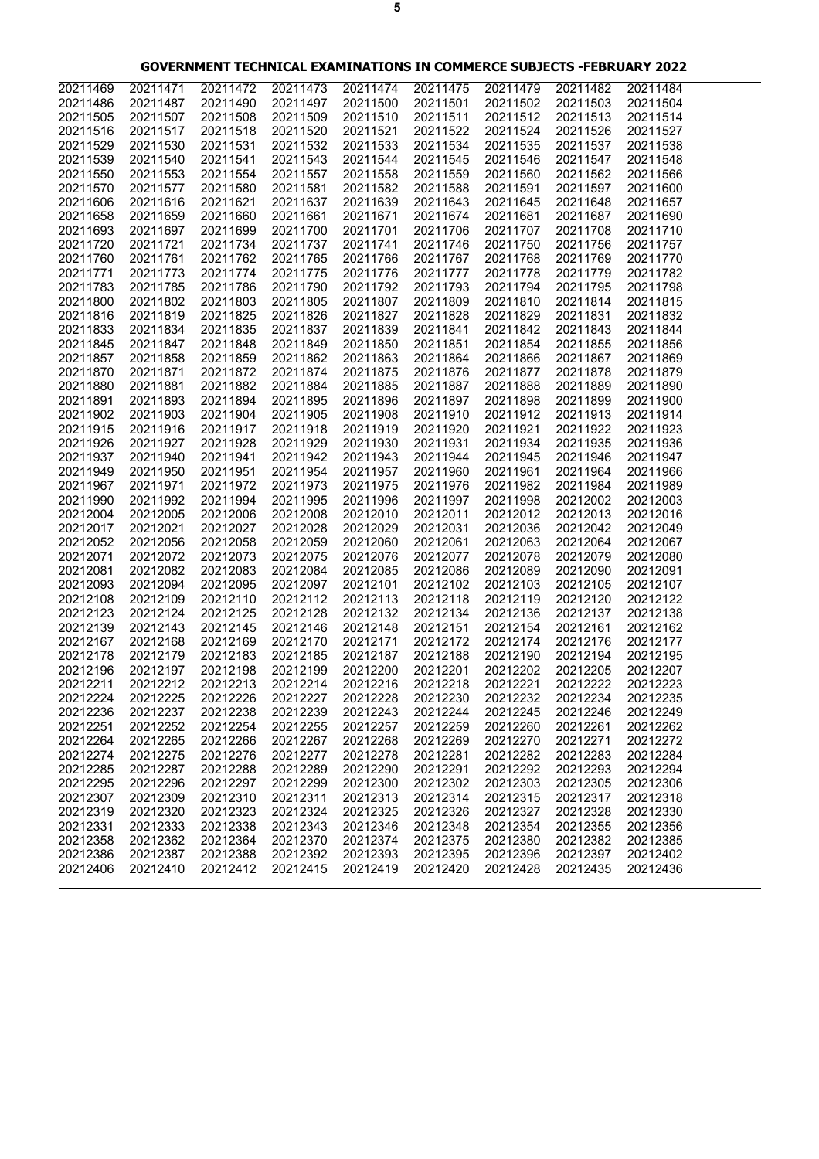| 20211469             | 20211471             | 20211472             | 20211473             | 20211474             | 20211475             | 20211479             | 20211482             | 20211484             |
|----------------------|----------------------|----------------------|----------------------|----------------------|----------------------|----------------------|----------------------|----------------------|
| 20211486             | 20211487             | 20211490             | 20211497             | 20211500             | 20211501             | 20211502             | 20211503             | 20211504             |
| 20211505             | 20211507             | 20211508             | 20211509             | 20211510             | 20211511             | 20211512             | 20211513             | 20211514             |
| 20211516             | 20211517             | 20211518             | 20211520             | 20211521             | 20211522             | 20211524             | 20211526             | 20211527             |
| 20211529             | 20211530             | 20211531             | 20211532             | 20211533             | 20211534             | 20211535             | 20211537             | 20211538             |
| 20211539             | 20211540             | 20211541             | 20211543             | 20211544             | 20211545             | 20211546             | 20211547             | 20211548             |
| 20211550             | 20211553             | 20211554             | 20211557             | 20211558             | 20211559             | 20211560             | 20211562             | 20211566             |
| 20211570             | 20211577             | 20211580             | 20211581             | 20211582             | 20211588             | 20211591             | 20211597             | 20211600             |
| 20211606             | 20211616             | 20211621             | 20211637             | 20211639             | 20211643             | 20211645             | 20211648             | 20211657             |
| 20211658             | 20211659             | 20211660             | 20211661             | 20211671             | 20211674             | 20211681             | 20211687             | 20211690             |
| 20211693             | 20211697             | 20211699             | 20211700             | 20211701             | 20211706             | 20211707             | 20211708             | 20211710             |
| 20211720             | 20211721             | 20211734             | 20211737             | 20211741             | 20211746             | 20211750             | 20211756             | 20211757             |
| 20211760             | 20211761             | 20211762             | 20211765             | 20211766             | 20211767             | 20211768             | 20211769             | 20211770             |
| 20211771             | 20211773             | 20211774             | 20211775             | 20211776             | 20211777             | 20211778             | 20211779             | 20211782             |
| 20211783             | 20211785             | 20211786             | 20211790             | 20211792             | 20211793             | 20211794             | 20211795             | 20211798             |
| 20211800             | 20211802             | 20211803             | 20211805             | 20211807             | 20211809             | 20211810             | 20211814             | 20211815             |
| 20211816             | 20211819             | 20211825             | 20211826             | 20211827             | 20211828             | 20211829             | 20211831             | 20211832             |
| 20211833             | 20211834             | 20211835             | 20211837             | 20211839             | 20211841             | 20211842             | 20211843             | 20211844             |
| 20211845             | 20211847             | 20211848             | 20211849             | 20211850             | 20211851             | 20211854             | 20211855             | 20211856             |
| 20211857             | 20211858             | 20211859             | 20211862             | 20211863             | 20211864             | 20211866             | 20211867             | 20211869             |
| 20211870             | 20211871             | 20211872             | 20211874             | 20211875             | 20211876             | 20211877             | 20211878             | 20211879             |
| 20211880             | 20211881             | 20211882             | 20211884             | 20211885             | 20211887             | 20211888             | 20211889             | 20211890             |
| 20211891             | 20211893             | 20211894             | 20211895             | 20211896             | 20211897             | 20211898             | 20211899             | 20211900             |
| 20211902             | 20211903             | 20211904             | 20211905             | 20211908             | 20211910             | 20211912             | 20211913             | 20211914             |
| 20211915             | 20211916             | 20211917             | 20211918             | 20211919             | 20211920             | 20211921             | 20211922             | 20211923             |
| 20211926             | 20211927             | 20211928             | 20211929             | 20211930             | 20211931             | 20211934             | 20211935             | 20211936             |
| 20211937             | 20211940             | 20211941             | 20211942             | 20211943             | 20211944             | 20211945             | 20211946             | 20211947             |
| 20211949             | 20211950             | 20211951             | 20211954             | 20211957             | 20211960             | 20211961             | 20211964             | 20211966             |
| 20211967             | 20211971             | 20211972             | 20211973             | 20211975             | 20211976             | 20211982             | 20211984             | 20211989             |
| 20211990             | 20211992             | 20211994             | 20211995             | 20211996             | 20211997             | 20211998             | 20212002             | 20212003             |
| 20212004             | 20212005             | 20212006             | 20212008             | 20212010             | 20212011             | 20212012             | 20212013             | 20212016             |
| 20212017             | 20212021             | 20212027             | 20212028             | 20212029             | 20212031             | 20212036             | 20212042             | 20212049             |
| 20212052             | 20212056             | 20212058             | 20212059             | 20212060             | 20212061             | 20212063             | 20212064             | 20212067             |
| 20212071             | 20212072             | 20212073             | 20212075             | 20212076             | 20212077             | 20212078             | 20212079             | 20212080             |
| 20212081             | 20212082             | 20212083             | 20212084             | 20212085             | 20212086             | 20212089             | 20212090             | 20212091             |
| 20212093             | 20212094             | 20212095             | 20212097             | 20212101             | 20212102             | 20212103             | 20212105             | 20212107             |
| 20212108             | 20212109             | 20212110             | 20212112             | 20212113             | 20212118             | 20212119             | 20212120             | 20212122             |
| 20212123             | 20212124             | 20212125             | 20212128             | 20212132             | 20212134             | 20212136             | 20212137             | 20212138             |
| 20212139             | 20212143             | 20212145             | 20212146             | 20212148             | 20212151             | 20212154             | 20212161             | 20212162             |
| 20212167             | 20212168             | 20212169             | 20212170             | 20212171             | 20212172             | 20212174             | 20212176             | 20212177             |
| 20212178             | 20212179             | 20212183             | 20212185             | 20212187             | 20212188             | 20212190             | 20212194             | 20212195             |
| 20212196             | 20212197             | 20212198             | 20212199             | 20212200             | 20212201             | 20212202             | 20212205             | 20212207             |
| 20212211             | 20212212             | 20212213             | 20212214             | 20212216             | 20212218             | 20212221             | 20212222             | 20212223             |
| 20212224<br>20212236 | 20212225<br>20212237 | 20212226<br>20212238 | 20212227<br>20212239 | 20212228<br>20212243 | 20212230<br>20212244 | 20212232<br>20212245 | 20212234<br>20212246 | 20212235<br>20212249 |
| 20212251             | 20212252             | 20212254             | 20212255             |                      | 20212259             | 20212260             | 20212261             | 20212262             |
| 20212264             | 20212265             | 20212266             | 20212267             | 20212257<br>20212268 | 20212269             | 20212270             | 20212271             | 20212272             |
| 20212274             | 20212275             | 20212276             | 20212277             | 20212278             | 20212281             | 20212282             | 20212283             | 20212284             |
| 20212285             | 20212287             | 20212288             | 20212289             | 20212290             | 20212291             | 20212292             | 20212293             | 20212294             |
| 20212295             | 20212296             | 20212297             | 20212299             | 20212300             | 20212302             | 20212303             | 20212305             | 20212306             |
| 20212307             | 20212309             | 20212310             | 20212311             | 20212313             | 20212314             | 20212315             | 20212317             | 20212318             |
| 20212319             | 20212320             | 20212323             | 20212324             | 20212325             | 20212326             | 20212327             | 20212328             | 20212330             |
| 20212331             | 20212333             | 20212338             | 20212343             | 20212346             | 20212348             | 20212354             | 20212355             | 20212356             |
| 20212358             | 20212362             | 20212364             | 20212370             | 20212374             | 20212375             | 20212380             | 20212382             | 20212385             |
| 20212386             | 20212387             | 20212388             | 20212392             | 20212393             | 20212395             | 20212396             | 20212397             | 20212402             |
| 20212406             | 20212410             | 20212412             | 20212415             | 20212419             | 20212420             | 20212428             | 20212435             | 20212436             |
|                      |                      |                      |                      |                      |                      |                      |                      |                      |